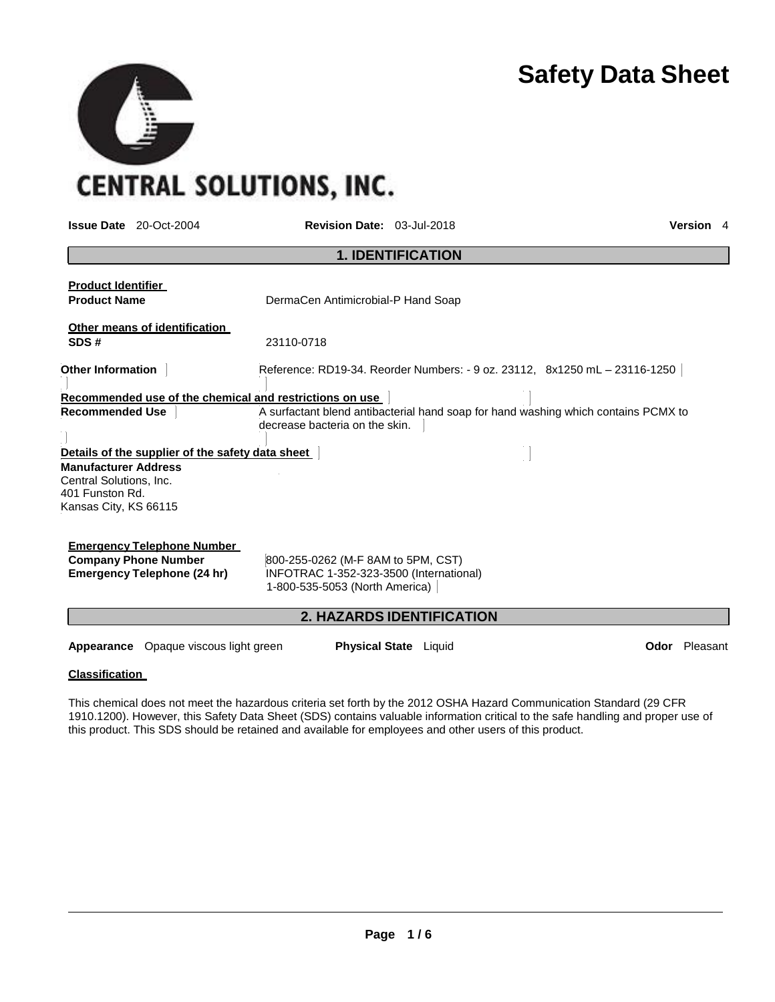

**CENTRAL SOLUTIONS, INC.** 

**SEP** 

| <b>Issue Date</b> 20-Oct-2004                                                                          | <b>Revision Date: 03-Jul-2018</b>                                                                               |                                  | Version 4                                                                          |
|--------------------------------------------------------------------------------------------------------|-----------------------------------------------------------------------------------------------------------------|----------------------------------|------------------------------------------------------------------------------------|
|                                                                                                        |                                                                                                                 | <b>1. IDENTIFICATION</b>         |                                                                                    |
| <b>Product Identifier</b><br><b>Product Name</b>                                                       | DermaCen Antimicrobial-P Hand Soap                                                                              |                                  |                                                                                    |
| Other means of identification<br>SDS#                                                                  | 23110-0718                                                                                                      |                                  |                                                                                    |
| <b>Other Information</b>                                                                               |                                                                                                                 |                                  | Reference: RD19-34. Reorder Numbers: - 9 oz. 23112, 8x1250 mL - 23116-1250         |
| Recommended use of the chemical and restrictions on use                                                |                                                                                                                 |                                  |                                                                                    |
| <b>Recommended Use</b><br>Details of the supplier of the safety data sheet                             | decrease bacteria on the skin.                                                                                  |                                  | A surfactant blend antibacterial hand soap for hand washing which contains PCMX to |
| <b>Manufacturer Address</b><br>Central Solutions, Inc.<br>401 Funston Rd.<br>Kansas City, KS 66115     |                                                                                                                 |                                  |                                                                                    |
| <b>Emergency Telephone Number</b><br><b>Company Phone Number</b><br><b>Emergency Telephone (24 hr)</b> | 800-255-0262 (M-F 8AM to 5PM, CST)<br>INFOTRAC 1-352-323-3500 (International)<br>1-800-535-5053 (North America) |                                  |                                                                                    |
|                                                                                                        |                                                                                                                 | <b>2. HAZARDS IDENTIFICATION</b> |                                                                                    |
| <b>Appearance</b> Opaque viscous light green                                                           |                                                                                                                 | <b>Physical State</b> Liquid     | <b>Odor</b> Pleasant                                                               |

#### **Classification**

This chemical does not meet the hazardous criteria set forth by the 2012 OSHA Hazard Communication Standard (29 CFR 1910.1200). However, this Safety Data Sheet (SDS) contains valuable information critical to the safe handling and proper use of this product. This SDS should be retained and available for employees and other users of this product.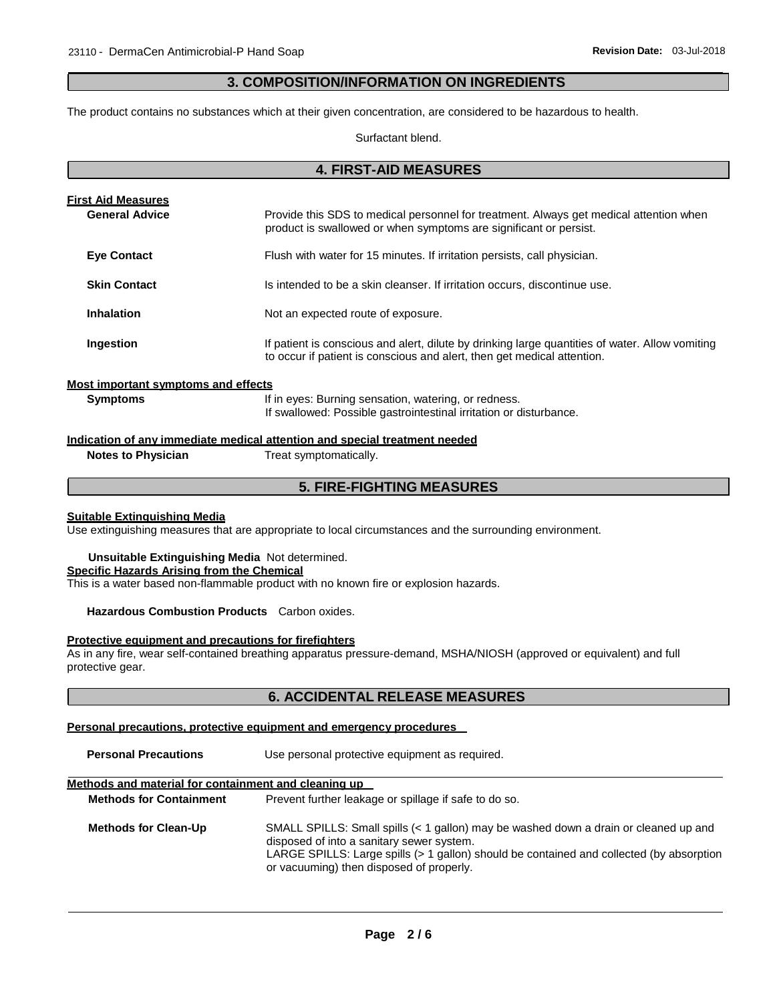## **3. COMPOSITION/INFORMATION ON INGREDIENTS**

The product contains no substances which at their given concentration, are considered to be hazardous to health.

Surfactant blend.

**4. FIRST-AID MEASURES**

| 4. FIRSI-AID MEASURES                              |                                                                                                                                                                            |  |  |
|----------------------------------------------------|----------------------------------------------------------------------------------------------------------------------------------------------------------------------------|--|--|
| <b>First Aid Measures</b><br><b>General Advice</b> | Provide this SDS to medical personnel for treatment. Always get medical attention when                                                                                     |  |  |
|                                                    | product is swallowed or when symptoms are significant or persist.                                                                                                          |  |  |
| <b>Eye Contact</b>                                 | Flush with water for 15 minutes. If irritation persists, call physician.                                                                                                   |  |  |
| <b>Skin Contact</b>                                | Is intended to be a skin cleanser. If irritation occurs, discontinue use.                                                                                                  |  |  |
| <b>Inhalation</b>                                  | Not an expected route of exposure.                                                                                                                                         |  |  |
| Ingestion                                          | If patient is conscious and alert, dilute by drinking large quantities of water. Allow vomiting<br>to occur if patient is conscious and alert, then get medical attention. |  |  |
| Most important symptoms and effects                |                                                                                                                                                                            |  |  |
| <b>Symptoms</b>                                    | If in eyes: Burning sensation, watering, or redness.<br>If swallowed: Possible gastrointestinal irritation or disturbance.                                                 |  |  |

**Indication of any immediate medical attention and special treatment needed**

**Notes to Physician** Treat symptomatically.

## **5. FIRE-FIGHTING MEASURES**

#### **Suitable Extinguishing Media**

Use extinguishing measures that are appropriate to local circumstances and the surrounding environment.

**Unsuitable Extinguishing Media** Not determined. **Specific Hazards Arising from the Chemical** This is a water based non-flammable product with no known fire or explosion hazards.

#### **Hazardous Combustion Products** Carbon oxides.

#### **Protective equipment and precautions for firefighters**

As in any fire, wear self-contained breathing apparatus pressure-demand, MSHA/NIOSH (approved or equivalent) and full protective gear.

## **6. ACCIDENTAL RELEASE MEASURES**

#### **Personal precautions, protective equipment and emergency procedures**

**Personal Precautions** Use personal protective equipment as required.

## **Methods and material for containment and cleaning up**

| <b>Methods for Containment</b> | Prevent further leakage or spillage if safe to do so.                                                                                                                                                                                                                     |
|--------------------------------|---------------------------------------------------------------------------------------------------------------------------------------------------------------------------------------------------------------------------------------------------------------------------|
| <b>Methods for Clean-Up</b>    | SMALL SPILLS: Small spills (< 1 gallon) may be washed down a drain or cleaned up and<br>disposed of into a sanitary sewer system.<br>LARGE SPILLS: Large spills (> 1 gallon) should be contained and collected (by absorption<br>or vacuuming) then disposed of properly. |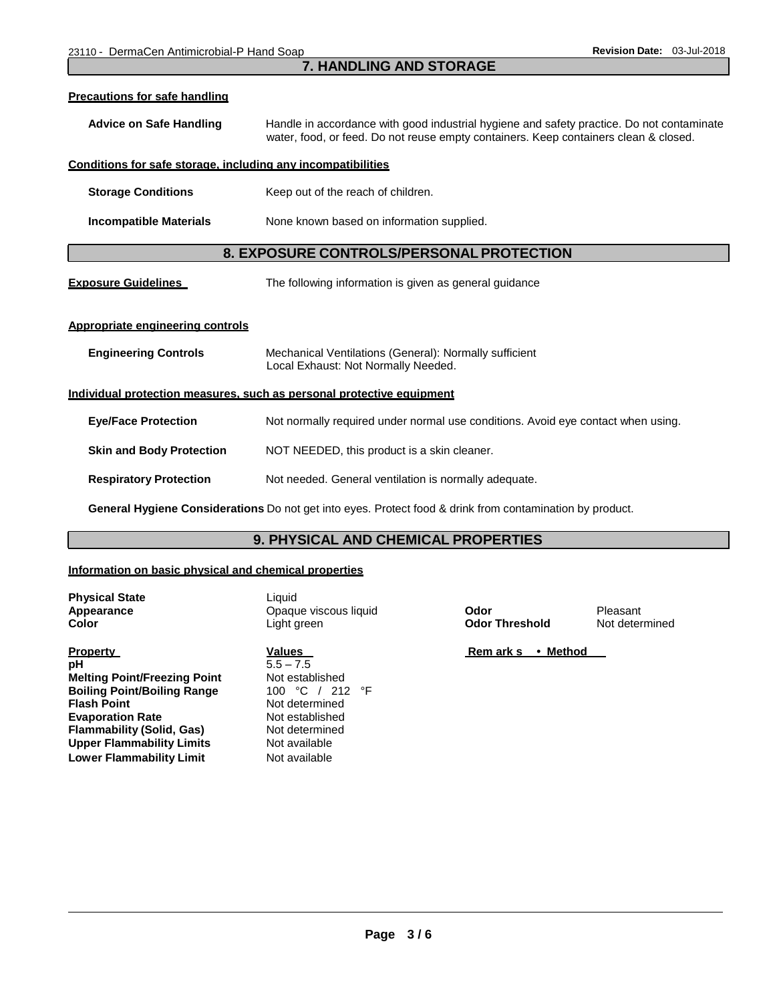## **7. HANDLING AND STORAGE**

| Precautions for safe handling                                         |                                                                                                                                                                                   |  |  |
|-----------------------------------------------------------------------|-----------------------------------------------------------------------------------------------------------------------------------------------------------------------------------|--|--|
| <b>Advice on Safe Handling</b>                                        | Handle in accordance with good industrial hygiene and safety practice. Do not contaminate<br>water, food, or feed. Do not reuse empty containers. Keep containers clean & closed. |  |  |
| Conditions for safe storage, including any incompatibilities          |                                                                                                                                                                                   |  |  |
| <b>Storage Conditions</b>                                             | Keep out of the reach of children.                                                                                                                                                |  |  |
| <b>Incompatible Materials</b>                                         | None known based on information supplied.                                                                                                                                         |  |  |
| 8. EXPOSURE CONTROLS/PERSONAL PROTECTION                              |                                                                                                                                                                                   |  |  |
| <b>Exposure Guidelines</b>                                            | The following information is given as general guidance                                                                                                                            |  |  |
| Appropriate engineering controls                                      |                                                                                                                                                                                   |  |  |
| <b>Engineering Controls</b>                                           | Mechanical Ventilations (General): Normally sufficient<br>Local Exhaust: Not Normally Needed.                                                                                     |  |  |
| Individual protection measures, such as personal protective equipment |                                                                                                                                                                                   |  |  |
| <b>Eye/Face Protection</b>                                            | Not normally required under normal use conditions. Avoid eye contact when using.                                                                                                  |  |  |
| <b>Skin and Body Protection</b>                                       | NOT NEEDED, this product is a skin cleaner.                                                                                                                                       |  |  |
| <b>Respiratory Protection</b>                                         | Not needed. General ventilation is normally adequate.                                                                                                                             |  |  |
|                                                                       | General Hygiene Considerations Do not get into eyes. Protect food & drink from contamination by product.                                                                          |  |  |

## **9. PHYSICAL AND CHEMICAL PROPERTIES**

## **Information on basic physical and chemical properties**

**Physical State** Liquid

**Property Values pH** 5.5 – 7.5 **Melting Point/Freezing Point** Not established<br> **Boiling Point/Boiling Range** 100 °C / 212 °F **Boiling Point/Boiling Range Flash Point Evaporation Rate Rate** Not established<br> **Flammability (Solid, Gas)** Not determined **Flammability (Solid, Gas) Upper Flammability Limits Lower Flammability Limit**

**Appearance C** Opaque viscous liquid **Color Color Pleasant Color Color Color Color Color Color Color Color Color Color Color Color Color Color Color Color Color Color Color Color** Light green **Color Threshold** Not determined

> **Not determined<br>Not established** Not available Not available

**Rem ark s • Method**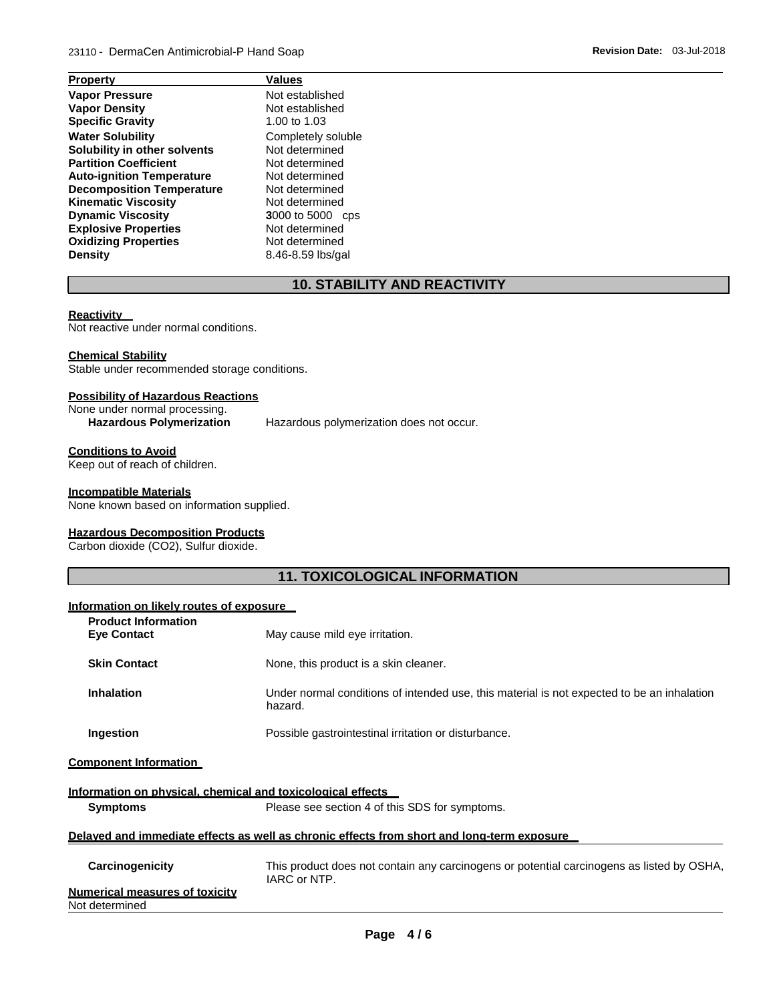| <b>Property</b>                         | Values                  |  |
|-----------------------------------------|-------------------------|--|
| <b>Vapor Pressure</b>                   | Not established         |  |
| <b>Vapor Density</b>                    | Not established         |  |
| <b>Specific Gravity</b><br>1.00 to 1.03 |                         |  |
| <b>Water Solubility</b>                 | Completely soluble      |  |
| Solubility in other solvents            | Not determined          |  |
| <b>Partition Coefficient</b>            | Not determined          |  |
| <b>Auto-ignition Temperature</b>        | Not determined          |  |
| <b>Decomposition Temperature</b>        | Not determined          |  |
| <b>Kinematic Viscosity</b>              | Not determined          |  |
| <b>Dynamic Viscosity</b>                | <b>3000 to 5000 cps</b> |  |
| <b>Explosive Properties</b>             | Not determined          |  |
| <b>Oxidizing Properties</b>             | Not determined          |  |
| <b>Density</b>                          | 8.46-8.59 lbs/gal       |  |
|                                         |                         |  |

# **10. STABILITY AND REACTIVITY**

## **Reactivity**

Not reactive under normal conditions.

## **Chemical Stability**

Stable under recommended storage conditions.

## **Possibility of Hazardous Reactions**

None under normal processing.

**Hazardous Polymerization** Hazardous polymerization does not occur.

# **Conditions to Avoid**

Keep out of reach of children.

#### **Incompatible Materials**

None known based on information supplied.

#### **Hazardous Decomposition Products**

Carbon dioxide (CO2), Sulfur dioxide.

## **11. TOXICOLOGICAL INFORMATION**

## **Information on likely routes of exposure**

| <b>Product Information</b><br><b>Eye Contact</b>                                           | May cause mild eye irritation.                                                                            |  |
|--------------------------------------------------------------------------------------------|-----------------------------------------------------------------------------------------------------------|--|
| <b>Skin Contact</b>                                                                        | None, this product is a skin cleaner.                                                                     |  |
| <b>Inhalation</b>                                                                          | Under normal conditions of intended use, this material is not expected to be an inhalation<br>hazard.     |  |
| Ingestion                                                                                  | Possible gastrointestinal irritation or disturbance.                                                      |  |
| <b>Component Information</b>                                                               |                                                                                                           |  |
| Information on physical, chemical and toxicological effects                                |                                                                                                           |  |
| <b>Symptoms</b>                                                                            | Please see section 4 of this SDS for symptoms.                                                            |  |
| Delayed and immediate effects as well as chronic effects from short and long-term exposure |                                                                                                           |  |
| Carcinogenicity                                                                            | This product does not contain any carcinogens or potential carcinogens as listed by OSHA,<br>IARC or NTP. |  |
| Marco e ale el secere es en el territolist                                                 |                                                                                                           |  |

| <b>Numerical measures of toxicity</b> |  |
|---------------------------------------|--|
| Not determined                        |  |

**Page 4 / 6**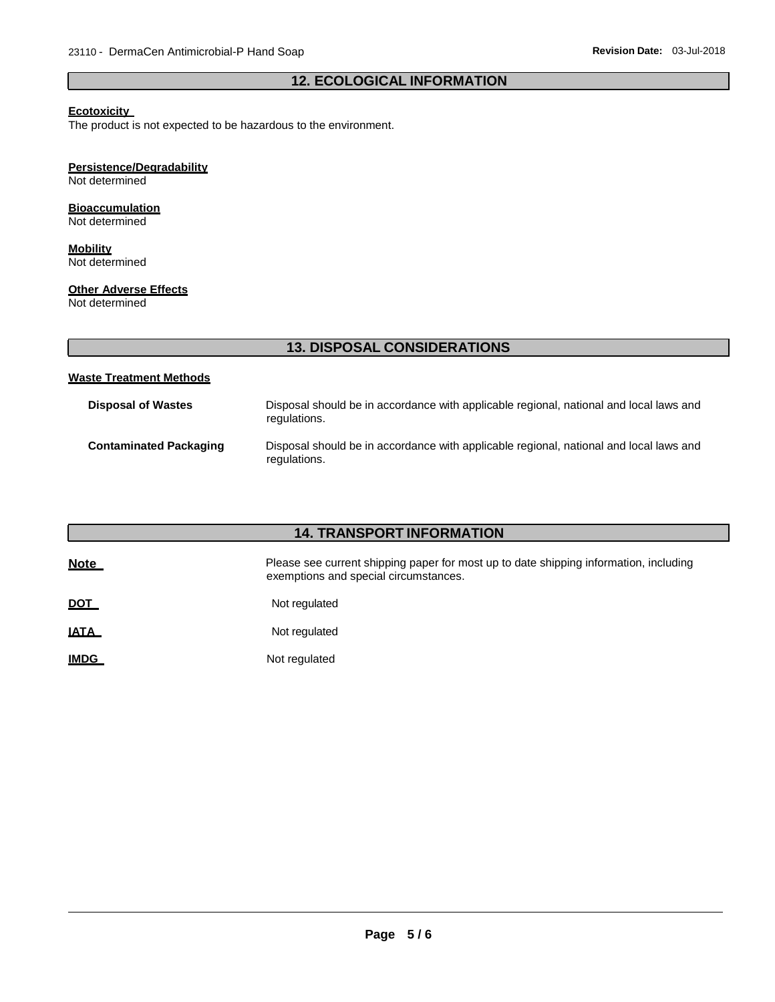## **12. ECOLOGICAL INFORMATION**

## **Ecotoxicity**

The product is not expected to be hazardous to the environment.

## **Persistence/Degradability**

Not determined

## **Bioaccumulation**

Not determined

#### **Mobility** Not determined

**Other Adverse Effects**

Not determined

# **13. DISPOSAL CONSIDERATIONS**

#### **Waste Treatment Methods**

| <b>Disposal of Wastes</b>     | Disposal should be in accordance with applicable regional, national and local laws and<br>regulations. |
|-------------------------------|--------------------------------------------------------------------------------------------------------|
| <b>Contaminated Packaging</b> | Disposal should be in accordance with applicable regional, national and local laws and<br>regulations. |

# **14. TRANSPORT INFORMATION**

| <b>Note</b> | Please see current shipping paper for most up to date shipping information, including<br>exemptions and special circumstances. |
|-------------|--------------------------------------------------------------------------------------------------------------------------------|
| <u>DOT</u>  | Not regulated                                                                                                                  |
| <u>IATA</u> | Not regulated                                                                                                                  |
| <b>IMDG</b> | Not regulated                                                                                                                  |